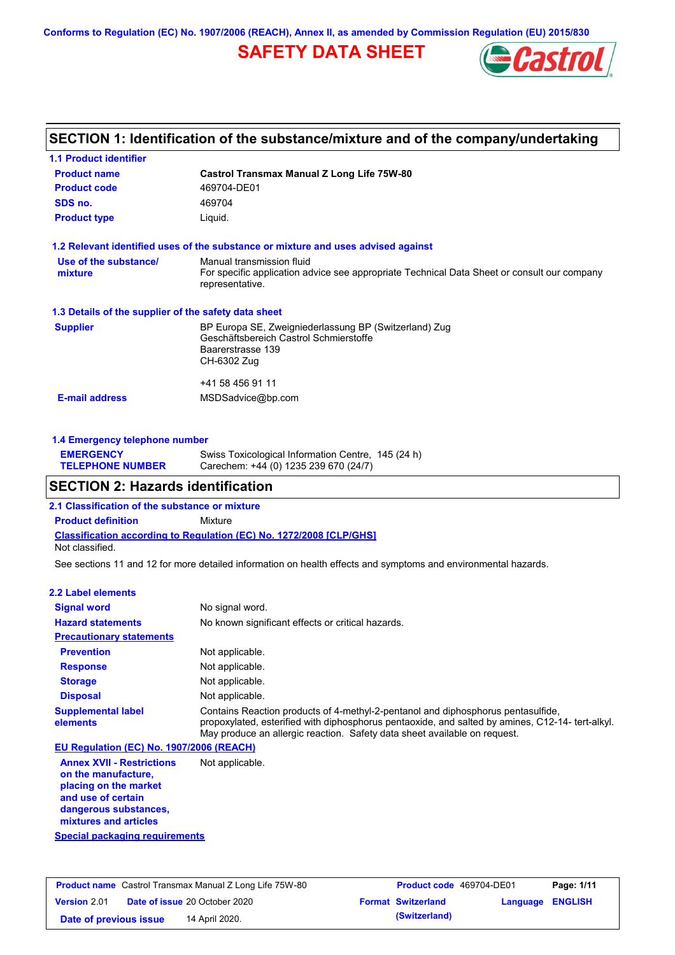**Conforms to Regulation (EC) No. 1907/2006 (REACH), Annex II, as amended by Commission Regulation (EU) 2015/830**

## **SAFETY DATA SHEET**



### **SECTION 1: Identification of the substance/mixture and of the company/undertaking**

| <b>1.1 Product identifier</b>                        |                                                                                                                                             |
|------------------------------------------------------|---------------------------------------------------------------------------------------------------------------------------------------------|
| <b>Product name</b>                                  | Castrol Transmax Manual Z Long Life 75W-80                                                                                                  |
| <b>Product code</b>                                  | 469704-DE01                                                                                                                                 |
| SDS no.                                              | 469704                                                                                                                                      |
| <b>Product type</b>                                  | Liquid.                                                                                                                                     |
|                                                      | 1.2 Relevant identified uses of the substance or mixture and uses advised against                                                           |
| Use of the substance/<br>mixture                     | Manual transmission fluid<br>For specific application advice see appropriate Technical Data Sheet or consult our company<br>representative. |
| 1.3 Details of the supplier of the safety data sheet |                                                                                                                                             |
| <b>Supplier</b>                                      | BP Europa SE, Zweigniederlassung BP (Switzerland) Zug<br>Geschäftsbereich Castrol Schmierstoffe<br>Baarerstrasse 139<br>CH-6302 Zug         |
| <b>E-mail address</b>                                | +41 58 456 91 11<br>MSDSadvice@bp.com                                                                                                       |
|                                                      |                                                                                                                                             |

| 1.4 Emergency telephone number              |                                                                                             |  |  |  |  |
|---------------------------------------------|---------------------------------------------------------------------------------------------|--|--|--|--|
| <b>EMERGENCY</b><br><b>TELEPHONE NUMBER</b> | Swiss Toxicological Information Centre, 145 (24 h)<br>Carechem: +44 (0) 1235 239 670 (24/7) |  |  |  |  |

### **SECTION 2: Hazards identification**

**2.1 Classification of the substance or mixture**

**Classification according to Regulation (EC) No. 1272/2008 [CLP/GHS] Product definition** Mixture Not classified.

See sections 11 and 12 for more detailed information on health effects and symptoms and environmental hazards.

### **2.2 Label elements**

| <b>Signal word</b>                       | No signal word.                                                                                                                                                                                                                                                  |
|------------------------------------------|------------------------------------------------------------------------------------------------------------------------------------------------------------------------------------------------------------------------------------------------------------------|
| <b>Hazard statements</b>                 | No known significant effects or critical hazards.                                                                                                                                                                                                                |
| <b>Precautionary statements</b>          |                                                                                                                                                                                                                                                                  |
| <b>Prevention</b>                        | Not applicable.                                                                                                                                                                                                                                                  |
| <b>Response</b>                          | Not applicable.                                                                                                                                                                                                                                                  |
| <b>Storage</b>                           | Not applicable.                                                                                                                                                                                                                                                  |
| <b>Disposal</b>                          | Not applicable.                                                                                                                                                                                                                                                  |
| <b>Supplemental label</b><br>elements    | Contains Reaction products of 4-methyl-2-pentanol and diphosphorus pentasulfide,<br>propoxylated, esterified with diphosphorus pentaoxide, and salted by amines, C12-14-tert-alkyl.<br>May produce an allergic reaction. Safety data sheet available on request. |
| EU Regulation (EC) No. 1907/2006 (REACH) |                                                                                                                                                                                                                                                                  |

**Annex XVII - Restrictions on the manufacture, placing on the market and use of certain dangerous substances, mixtures and articles** Not applicable.

**Special packaging requirements**

| <b>Product name</b> Castrol Transmax Manual Z Long Life 75W-80 |  |                                      | <b>Product code</b> 469704-DE01 |                           | Page: 1/11       |  |
|----------------------------------------------------------------|--|--------------------------------------|---------------------------------|---------------------------|------------------|--|
| <b>Version 2.01</b>                                            |  | <b>Date of issue 20 October 2020</b> |                                 | <b>Format Switzerland</b> | Language ENGLISH |  |
| Date of previous issue                                         |  | 14 April 2020.                       |                                 | (Switzerland)             |                  |  |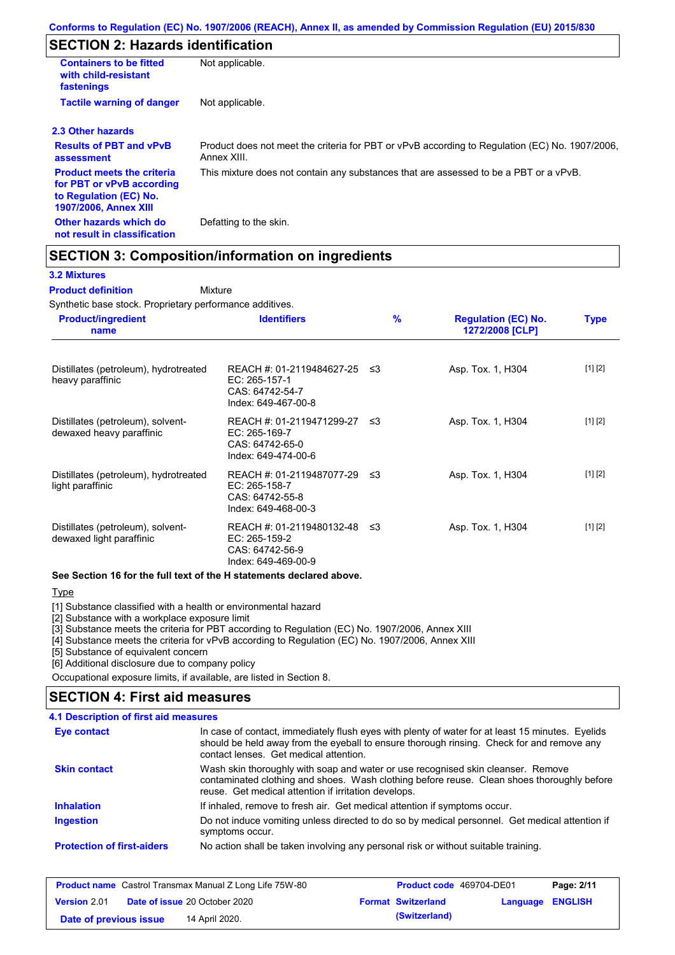## **SECTION 2: Hazards identification**

| <b>Containers to be fitted</b><br>with child-resistant<br>fastenings                                                     | Not applicable.                                                                                               |
|--------------------------------------------------------------------------------------------------------------------------|---------------------------------------------------------------------------------------------------------------|
| <b>Tactile warning of danger</b>                                                                                         | Not applicable.                                                                                               |
| 2.3 Other hazards                                                                                                        |                                                                                                               |
| <b>Results of PBT and vPvB</b><br>assessment                                                                             | Product does not meet the criteria for PBT or vPvB according to Regulation (EC) No. 1907/2006,<br>Annex XIII. |
| <b>Product meets the criteria</b><br>for PBT or vPvB according<br>to Regulation (EC) No.<br><b>1907/2006, Annex XIII</b> | This mixture does not contain any substances that are assessed to be a PBT or a vPvB.                         |
| Other hazards which do<br>not result in classification                                                                   | Defatting to the skin.                                                                                        |

### **SECTION 3: Composition/information on ingredients**

Mixture

### **3.2 Mixtures**

#### **Product definition**

Synthetic base stock. Proprietary performance additives.

| <b>Product/ingredient</b><br>name                             | <b>Identifiers</b>                                                                      | $\frac{9}{6}$ | <b>Regulation (EC) No.</b><br>1272/2008 [CLP] | <b>Type</b> |
|---------------------------------------------------------------|-----------------------------------------------------------------------------------------|---------------|-----------------------------------------------|-------------|
| Distillates (petroleum), hydrotreated<br>heavy paraffinic     | REACH #: 01-2119484627-25 ≤3<br>EC: 265-157-1<br>CAS: 64742-54-7<br>Index: 649-467-00-8 |               | Asp. Tox. 1, H304                             | [1] [2]     |
| Distillates (petroleum), solvent-<br>dewaxed heavy paraffinic | REACH #: 01-2119471299-27 ≤3<br>EC: 265-169-7<br>CAS: 64742-65-0<br>Index: 649-474-00-6 |               | Asp. Tox. 1, H304                             | [1] [2]     |
| Distillates (petroleum), hydrotreated<br>light paraffinic     | REACH #: 01-2119487077-29 ≤3<br>EC: 265-158-7<br>CAS: 64742-55-8<br>Index: 649-468-00-3 |               | Asp. Tox. 1, H304                             | [1] [2]     |
| Distillates (petroleum), solvent-<br>dewaxed light paraffinic | REACH #: 01-2119480132-48 ≤3<br>EC: 265-159-2<br>CAS: 64742-56-9<br>Index: 649-469-00-9 |               | Asp. Tox. 1, H304                             | [1] [2]     |

#### **See Section 16 for the full text of the H statements declared above.**

### **Type**

[1] Substance classified with a health or environmental hazard

[2] Substance with a workplace exposure limit

[3] Substance meets the criteria for PBT according to Regulation (EC) No. 1907/2006, Annex XIII

[4] Substance meets the criteria for vPvB according to Regulation (EC) No. 1907/2006, Annex XIII

[5] Substance of equivalent concern

[6] Additional disclosure due to company policy

Occupational exposure limits, if available, are listed in Section 8.

### **SECTION 4: First aid measures**

| 4.1 Description of first aid measures |                                                                                                                                                                                                                                         |
|---------------------------------------|-----------------------------------------------------------------------------------------------------------------------------------------------------------------------------------------------------------------------------------------|
| Eye contact                           | In case of contact, immediately flush eyes with plenty of water for at least 15 minutes. Eyelids<br>should be held away from the eyeball to ensure thorough rinsing. Check for and remove any<br>contact lenses. Get medical attention. |
| <b>Skin contact</b>                   | Wash skin thoroughly with soap and water or use recognised skin cleanser. Remove<br>contaminated clothing and shoes. Wash clothing before reuse. Clean shoes thoroughly before<br>reuse. Get medical attention if irritation develops.  |
| <b>Inhalation</b>                     | If inhaled, remove to fresh air. Get medical attention if symptoms occur.                                                                                                                                                               |
| <b>Ingestion</b>                      | Do not induce vomiting unless directed to do so by medical personnel. Get medical attention if<br>symptoms occur.                                                                                                                       |
| <b>Protection of first-aiders</b>     | No action shall be taken involving any personal risk or without suitable training.                                                                                                                                                      |

| <b>Product name</b> Castrol Transmax Manual Z Long Life 75W-80 |  |                                      | <b>Product code</b> 469704-DE01 |                           | Page: 2/11              |  |
|----------------------------------------------------------------|--|--------------------------------------|---------------------------------|---------------------------|-------------------------|--|
| <b>Version 2.01</b>                                            |  | <b>Date of issue 20 October 2020</b> |                                 | <b>Format Switzerland</b> | <b>Language ENGLISH</b> |  |
| Date of previous issue                                         |  | 14 April 2020.                       |                                 | (Switzerland)             |                         |  |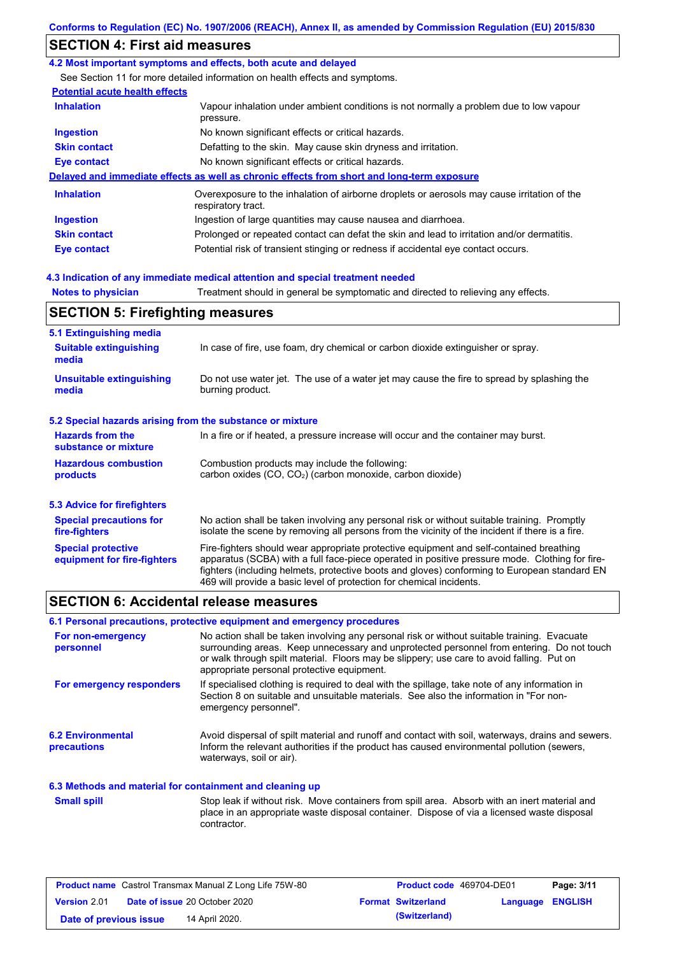## **SECTION 4: First aid measures**

### **4.2 Most important symptoms and effects, both acute and delayed**

See Section 11 for more detailed information on health effects and symptoms.

### **Potential acute health effects**

| <b>Inhalation</b>   | Vapour inhalation under ambient conditions is not normally a problem due to low vapour<br>pressure.               |
|---------------------|-------------------------------------------------------------------------------------------------------------------|
| <b>Ingestion</b>    | No known significant effects or critical hazards.                                                                 |
| <b>Skin contact</b> | Defatting to the skin. May cause skin dryness and irritation.                                                     |
| Eye contact         | No known significant effects or critical hazards.                                                                 |
|                     | Delayed and immediate effects as well as chronic effects from short and long-term exposure                        |
| <b>Inhalation</b>   | Overexposure to the inhalation of airborne droplets or aerosols may cause irritation of the<br>respiratory tract. |
| <b>Ingestion</b>    | Ingestion of large quantities may cause nausea and diarrhoea.                                                     |
| <b>Skin contact</b> | Prolonged or repeated contact can defat the skin and lead to irritation and/or dermatitis.                        |
| Eye contact         | Potential risk of transient stinging or redness if accidental eye contact occurs.                                 |

### **4.3 Indication of any immediate medical attention and special treatment needed**

**Notes to physician** Treatment should in general be symptomatic and directed to relieving any effects.

### **SECTION 5: Firefighting measures**

| 5.1 Extinguishing media                                   |                                                                                                                                                                                                                                                                                                                                                                   |
|-----------------------------------------------------------|-------------------------------------------------------------------------------------------------------------------------------------------------------------------------------------------------------------------------------------------------------------------------------------------------------------------------------------------------------------------|
| <b>Suitable extinguishing</b><br>media                    | In case of fire, use foam, dry chemical or carbon dioxide extinguisher or spray.                                                                                                                                                                                                                                                                                  |
| <b>Unsuitable extinguishing</b><br>media                  | Do not use water jet. The use of a water jet may cause the fire to spread by splashing the<br>burning product.                                                                                                                                                                                                                                                    |
| 5.2 Special hazards arising from the substance or mixture |                                                                                                                                                                                                                                                                                                                                                                   |
| <b>Hazards from the</b><br>substance or mixture           | In a fire or if heated, a pressure increase will occur and the container may burst.                                                                                                                                                                                                                                                                               |
| <b>Hazardous combustion</b><br>products                   | Combustion products may include the following:<br>carbon oxides $(CO, CO2)$ (carbon monoxide, carbon dioxide)                                                                                                                                                                                                                                                     |
| 5.3 Advice for firefighters                               |                                                                                                                                                                                                                                                                                                                                                                   |
| <b>Special precautions for</b><br>fire-fighters           | No action shall be taken involving any personal risk or without suitable training. Promptly<br>isolate the scene by removing all persons from the vicinity of the incident if there is a fire.                                                                                                                                                                    |
| <b>Special protective</b><br>equipment for fire-fighters  | Fire-fighters should wear appropriate protective equipment and self-contained breathing<br>apparatus (SCBA) with a full face-piece operated in positive pressure mode. Clothing for fire-<br>fighters (including helmets, protective boots and gloves) conforming to European standard EN<br>469 will provide a basic level of protection for chemical incidents. |

### **SECTION 6: Accidental release measures**

### **6.1 Personal precautions, protective equipment and emergency procedures**

| For non-emergency<br>personnel                           | No action shall be taken involving any personal risk or without suitable training. Evacuate<br>surrounding areas. Keep unnecessary and unprotected personnel from entering. Do not touch<br>or walk through spilt material. Floors may be slippery; use care to avoid falling. Put on<br>appropriate personal protective equipment. |
|----------------------------------------------------------|-------------------------------------------------------------------------------------------------------------------------------------------------------------------------------------------------------------------------------------------------------------------------------------------------------------------------------------|
| For emergency responders                                 | If specialised clothing is required to deal with the spillage, take note of any information in<br>Section 8 on suitable and unsuitable materials. See also the information in "For non-<br>emergency personnel".                                                                                                                    |
| <b>6.2 Environmental</b><br><b>precautions</b>           | Avoid dispersal of spilt material and runoff and contact with soil, waterways, drains and sewers.<br>Inform the relevant authorities if the product has caused environmental pollution (sewers,<br>waterways, soil or air).                                                                                                         |
| 6.3 Methods and material for containment and cleaning up |                                                                                                                                                                                                                                                                                                                                     |
| <b>Small spill</b>                                       | Stop leak if without risk. Move containers from spill area. Absorb with an inert material and<br>place in an appropriate waste disposal container. Dispose of via a licensed waste disposal<br>contractor.                                                                                                                          |

| <b>Product name</b> Castrol Transmax Manual Z Long Life 75W-80 |  |                                      | <b>Product code</b> 469704-DE01 | Page: 3/11                |                         |  |
|----------------------------------------------------------------|--|--------------------------------------|---------------------------------|---------------------------|-------------------------|--|
| <b>Version 2.01</b>                                            |  | <b>Date of issue 20 October 2020</b> |                                 | <b>Format Switzerland</b> | <b>Language ENGLISH</b> |  |
| Date of previous issue                                         |  | 14 April 2020.                       |                                 | (Switzerland)             |                         |  |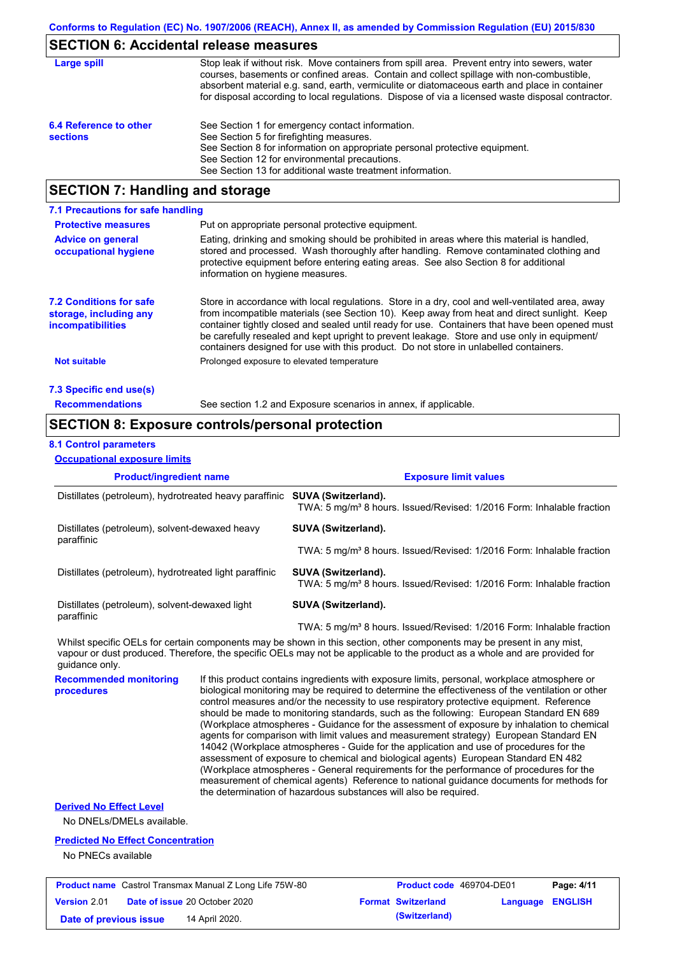## **SECTION 6: Accidental release measures**

| Large spill                               | Stop leak if without risk. Move containers from spill area. Prevent entry into sewers, water<br>courses, basements or confined areas. Contain and collect spillage with non-combustible,<br>absorbent material e.g. sand, earth, vermiculite or diatomaceous earth and place in container<br>for disposal according to local regulations. Dispose of via a licensed waste disposal contractor. |
|-------------------------------------------|------------------------------------------------------------------------------------------------------------------------------------------------------------------------------------------------------------------------------------------------------------------------------------------------------------------------------------------------------------------------------------------------|
| 6.4 Reference to other<br><b>sections</b> | See Section 1 for emergency contact information.<br>See Section 5 for firefighting measures.<br>See Section 8 for information on appropriate personal protective equipment.<br>See Section 12 for environmental precautions.<br>See Section 13 for additional waste treatment information.                                                                                                     |

# **SECTION 7: Handling and storage**

| 7.1 Precautions for safe handling                                                    |                                                                                                                                                                                                                                                                                                                                                                                                                                                                                          |
|--------------------------------------------------------------------------------------|------------------------------------------------------------------------------------------------------------------------------------------------------------------------------------------------------------------------------------------------------------------------------------------------------------------------------------------------------------------------------------------------------------------------------------------------------------------------------------------|
| <b>Protective measures</b>                                                           | Put on appropriate personal protective equipment.                                                                                                                                                                                                                                                                                                                                                                                                                                        |
| <b>Advice on general</b><br>occupational hygiene                                     | Eating, drinking and smoking should be prohibited in areas where this material is handled.<br>stored and processed. Wash thoroughly after handling. Remove contaminated clothing and<br>protective equipment before entering eating areas. See also Section 8 for additional<br>information on hygiene measures.                                                                                                                                                                         |
| <b>7.2 Conditions for safe</b><br>storage, including any<br><i>incompatibilities</i> | Store in accordance with local regulations. Store in a dry, cool and well-ventilated area, away<br>from incompatible materials (see Section 10). Keep away from heat and direct sunlight. Keep<br>container tightly closed and sealed until ready for use. Containers that have been opened must<br>be carefully resealed and kept upright to prevent leakage. Store and use only in equipment/<br>containers designed for use with this product. Do not store in unlabelled containers. |
| <b>Not suitable</b>                                                                  | Prolonged exposure to elevated temperature                                                                                                                                                                                                                                                                                                                                                                                                                                               |
| 7.3 Specific end use(s)                                                              |                                                                                                                                                                                                                                                                                                                                                                                                                                                                                          |
| <b>Recommendations</b>                                                               | See section 1.2 and Exposure scenarios in annex, if applicable.                                                                                                                                                                                                                                                                                                                                                                                                                          |

## **SECTION 8: Exposure controls/personal protection**

### **8.1 Control parameters**

**Occupational exposure limits**

| <b>Product/ingredient name</b>                                             |  | <b>Exposure limit values</b>                                                                                                                                                                                                                                                                                                                                                                                                                                                                                                                                                                                                                                                                                                                                                                                                                                                                                                                                                                                               |  |  |  |
|----------------------------------------------------------------------------|--|----------------------------------------------------------------------------------------------------------------------------------------------------------------------------------------------------------------------------------------------------------------------------------------------------------------------------------------------------------------------------------------------------------------------------------------------------------------------------------------------------------------------------------------------------------------------------------------------------------------------------------------------------------------------------------------------------------------------------------------------------------------------------------------------------------------------------------------------------------------------------------------------------------------------------------------------------------------------------------------------------------------------------|--|--|--|
| Distillates (petroleum), hydrotreated heavy paraffinic SUVA (Switzerland). |  | TWA: 5 mg/m <sup>3</sup> 8 hours. Issued/Revised: 1/2016 Form: Inhalable fraction                                                                                                                                                                                                                                                                                                                                                                                                                                                                                                                                                                                                                                                                                                                                                                                                                                                                                                                                          |  |  |  |
| Distillates (petroleum), solvent-dewaxed heavy<br>paraffinic               |  | SUVA (Switzerland).                                                                                                                                                                                                                                                                                                                                                                                                                                                                                                                                                                                                                                                                                                                                                                                                                                                                                                                                                                                                        |  |  |  |
|                                                                            |  | TWA: 5 mg/m <sup>3</sup> 8 hours. Issued/Revised: 1/2016 Form: Inhalable fraction                                                                                                                                                                                                                                                                                                                                                                                                                                                                                                                                                                                                                                                                                                                                                                                                                                                                                                                                          |  |  |  |
| Distillates (petroleum), hydrotreated light paraffinic                     |  | SUVA (Switzerland).<br>TWA: 5 mg/m <sup>3</sup> 8 hours. Issued/Revised: 1/2016 Form: Inhalable fraction                                                                                                                                                                                                                                                                                                                                                                                                                                                                                                                                                                                                                                                                                                                                                                                                                                                                                                                   |  |  |  |
| Distillates (petroleum), solvent-dewaxed light<br>paraffinic               |  | SUVA (Switzerland).                                                                                                                                                                                                                                                                                                                                                                                                                                                                                                                                                                                                                                                                                                                                                                                                                                                                                                                                                                                                        |  |  |  |
|                                                                            |  | TWA: 5 mg/m <sup>3</sup> 8 hours. Issued/Revised: 1/2016 Form: Inhalable fraction                                                                                                                                                                                                                                                                                                                                                                                                                                                                                                                                                                                                                                                                                                                                                                                                                                                                                                                                          |  |  |  |
| quidance only.                                                             |  | Whilst specific OELs for certain components may be shown in this section, other components may be present in any mist,<br>vapour or dust produced. Therefore, the specific OELs may not be applicable to the product as a whole and are provided for                                                                                                                                                                                                                                                                                                                                                                                                                                                                                                                                                                                                                                                                                                                                                                       |  |  |  |
| <b>Recommended monitoring</b><br>procedures                                |  | If this product contains ingredients with exposure limits, personal, workplace atmosphere or<br>biological monitoring may be required to determine the effectiveness of the ventilation or other<br>control measures and/or the necessity to use respiratory protective equipment. Reference<br>should be made to monitoring standards, such as the following: European Standard EN 689<br>(Workplace atmospheres - Guidance for the assessment of exposure by inhalation to chemical<br>agents for comparison with limit values and measurement strategy) European Standard EN<br>14042 (Workplace atmospheres - Guide for the application and use of procedures for the<br>assessment of exposure to chemical and biological agents) European Standard EN 482<br>(Workplace atmospheres - General requirements for the performance of procedures for the<br>measurement of chemical agents) Reference to national guidance documents for methods for<br>the determination of hazardous substances will also be required. |  |  |  |
| <b>Derived No Effect Level</b><br>No DNELs/DMELs available.                |  |                                                                                                                                                                                                                                                                                                                                                                                                                                                                                                                                                                                                                                                                                                                                                                                                                                                                                                                                                                                                                            |  |  |  |

### **Predicted No Effect Concentration**

No PNECs available

| <b>Product name</b> Castrol Transmax Manual Z Long Life 75W-80 |  | <b>Product code</b> 469704-DE01      |  | Page: 4/11                |                         |  |
|----------------------------------------------------------------|--|--------------------------------------|--|---------------------------|-------------------------|--|
| Version 2.01                                                   |  | <b>Date of issue 20 October 2020</b> |  | <b>Format Switzerland</b> | <b>Language ENGLISH</b> |  |
| Date of previous issue                                         |  | 14 April 2020.                       |  | (Switzerland)             |                         |  |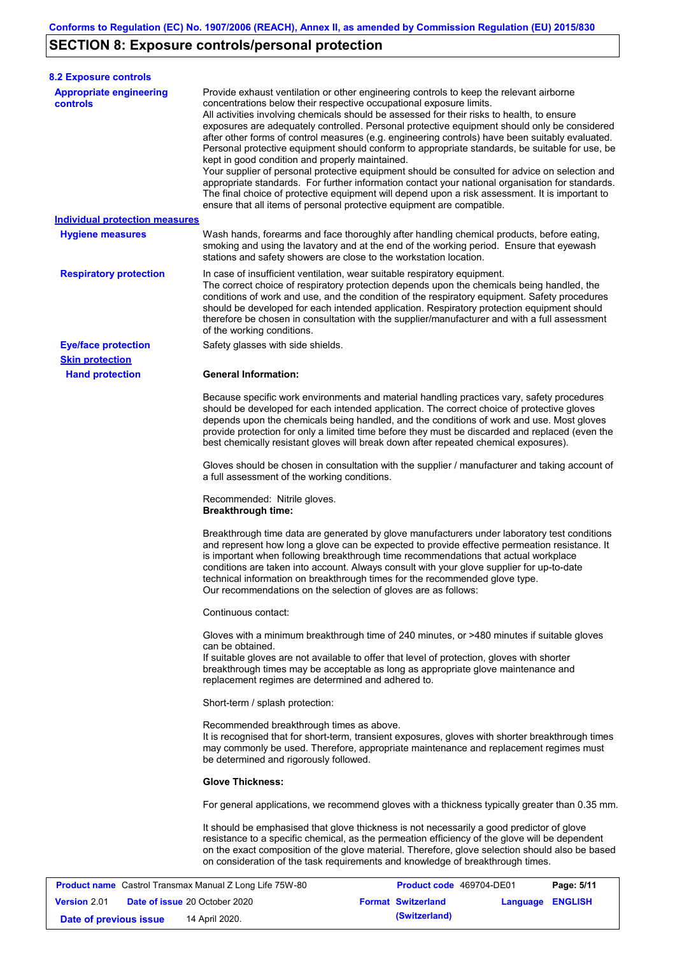# **SECTION 8: Exposure controls/personal protection**

| <b>8.2 Exposure controls</b>                                   |                                                                                                                                                                                                  |                                                                                                                                                                                                                                                                                                                                                                                                                                                                                                                                                                                                                                                                                                                                                                                                     |            |
|----------------------------------------------------------------|--------------------------------------------------------------------------------------------------------------------------------------------------------------------------------------------------|-----------------------------------------------------------------------------------------------------------------------------------------------------------------------------------------------------------------------------------------------------------------------------------------------------------------------------------------------------------------------------------------------------------------------------------------------------------------------------------------------------------------------------------------------------------------------------------------------------------------------------------------------------------------------------------------------------------------------------------------------------------------------------------------------------|------------|
| <b>Appropriate engineering</b><br><b>controls</b>              | concentrations below their respective occupational exposure limits.<br>kept in good condition and properly maintained.<br>ensure that all items of personal protective equipment are compatible. | Provide exhaust ventilation or other engineering controls to keep the relevant airborne<br>All activities involving chemicals should be assessed for their risks to health, to ensure<br>exposures are adequately controlled. Personal protective equipment should only be considered<br>after other forms of control measures (e.g. engineering controls) have been suitably evaluated.<br>Personal protective equipment should conform to appropriate standards, be suitable for use, be<br>Your supplier of personal protective equipment should be consulted for advice on selection and<br>appropriate standards. For further information contact your national organisation for standards.<br>The final choice of protective equipment will depend upon a risk assessment. It is important to |            |
| <b>Individual protection measures</b>                          |                                                                                                                                                                                                  |                                                                                                                                                                                                                                                                                                                                                                                                                                                                                                                                                                                                                                                                                                                                                                                                     |            |
| <b>Hygiene measures</b>                                        | stations and safety showers are close to the workstation location.                                                                                                                               | Wash hands, forearms and face thoroughly after handling chemical products, before eating,<br>smoking and using the lavatory and at the end of the working period. Ensure that eyewash                                                                                                                                                                                                                                                                                                                                                                                                                                                                                                                                                                                                               |            |
| <b>Respiratory protection</b>                                  | In case of insufficient ventilation, wear suitable respiratory equipment.<br>of the working conditions.                                                                                          | The correct choice of respiratory protection depends upon the chemicals being handled, the<br>conditions of work and use, and the condition of the respiratory equipment. Safety procedures<br>should be developed for each intended application. Respiratory protection equipment should<br>therefore be chosen in consultation with the supplier/manufacturer and with a full assessment                                                                                                                                                                                                                                                                                                                                                                                                          |            |
| <b>Eye/face protection</b>                                     | Safety glasses with side shields.                                                                                                                                                                |                                                                                                                                                                                                                                                                                                                                                                                                                                                                                                                                                                                                                                                                                                                                                                                                     |            |
| <b>Skin protection</b>                                         |                                                                                                                                                                                                  |                                                                                                                                                                                                                                                                                                                                                                                                                                                                                                                                                                                                                                                                                                                                                                                                     |            |
| <b>Hand protection</b>                                         | <b>General Information:</b>                                                                                                                                                                      | Because specific work environments and material handling practices vary, safety procedures<br>should be developed for each intended application. The correct choice of protective gloves<br>depends upon the chemicals being handled, and the conditions of work and use. Most gloves<br>provide protection for only a limited time before they must be discarded and replaced (even the<br>best chemically resistant gloves will break down after repeated chemical exposures).                                                                                                                                                                                                                                                                                                                    |            |
|                                                                | a full assessment of the working conditions.                                                                                                                                                     | Gloves should be chosen in consultation with the supplier / manufacturer and taking account of                                                                                                                                                                                                                                                                                                                                                                                                                                                                                                                                                                                                                                                                                                      |            |
|                                                                | Recommended: Nitrile gloves.<br><b>Breakthrough time:</b>                                                                                                                                        |                                                                                                                                                                                                                                                                                                                                                                                                                                                                                                                                                                                                                                                                                                                                                                                                     |            |
|                                                                | Our recommendations on the selection of gloves are as follows:                                                                                                                                   | Breakthrough time data are generated by glove manufacturers under laboratory test conditions<br>and represent how long a glove can be expected to provide effective permeation resistance. It<br>is important when following breakthrough time recommendations that actual workplace<br>conditions are taken into account. Always consult with your glove supplier for up-to-date<br>technical information on breakthrough times for the recommended glove type.                                                                                                                                                                                                                                                                                                                                    |            |
|                                                                | Continuous contact:                                                                                                                                                                              |                                                                                                                                                                                                                                                                                                                                                                                                                                                                                                                                                                                                                                                                                                                                                                                                     |            |
|                                                                | can be obtained.<br>replacement regimes are determined and adhered to.                                                                                                                           | Gloves with a minimum breakthrough time of 240 minutes, or >480 minutes if suitable gloves<br>If suitable gloves are not available to offer that level of protection, gloves with shorter<br>breakthrough times may be acceptable as long as appropriate glove maintenance and                                                                                                                                                                                                                                                                                                                                                                                                                                                                                                                      |            |
|                                                                | Short-term / splash protection:                                                                                                                                                                  |                                                                                                                                                                                                                                                                                                                                                                                                                                                                                                                                                                                                                                                                                                                                                                                                     |            |
|                                                                | Recommended breakthrough times as above.<br>be determined and rigorously followed.                                                                                                               | It is recognised that for short-term, transient exposures, gloves with shorter breakthrough times<br>may commonly be used. Therefore, appropriate maintenance and replacement regimes must                                                                                                                                                                                                                                                                                                                                                                                                                                                                                                                                                                                                          |            |
|                                                                | <b>Glove Thickness:</b>                                                                                                                                                                          |                                                                                                                                                                                                                                                                                                                                                                                                                                                                                                                                                                                                                                                                                                                                                                                                     |            |
|                                                                |                                                                                                                                                                                                  | For general applications, we recommend gloves with a thickness typically greater than 0.35 mm.                                                                                                                                                                                                                                                                                                                                                                                                                                                                                                                                                                                                                                                                                                      |            |
|                                                                |                                                                                                                                                                                                  | It should be emphasised that glove thickness is not necessarily a good predictor of glove<br>resistance to a specific chemical, as the permeation efficiency of the glove will be dependent<br>on the exact composition of the glove material. Therefore, glove selection should also be based<br>on consideration of the task requirements and knowledge of breakthrough times.                                                                                                                                                                                                                                                                                                                                                                                                                    |            |
| <b>Product name</b> Castrol Transmax Manual Z Long Life 75W-80 |                                                                                                                                                                                                  | Product code 469704-DE01                                                                                                                                                                                                                                                                                                                                                                                                                                                                                                                                                                                                                                                                                                                                                                            | Page: 5/11 |

|                        | $\frac{1}{2}$ . The state of the state of the state of the state of the state of the state of the state of the state of the state of the state of the state of the state of the state of the state of the state of the state of t |                           |                         | . |
|------------------------|-----------------------------------------------------------------------------------------------------------------------------------------------------------------------------------------------------------------------------------|---------------------------|-------------------------|---|
| <b>Version</b> 2.01    | <b>Date of issue 20 October 2020</b>                                                                                                                                                                                              | <b>Format Switzerland</b> | <b>Language ENGLISH</b> |   |
| Date of previous issue | 14 April 2020.                                                                                                                                                                                                                    | (Switzerland)             |                         |   |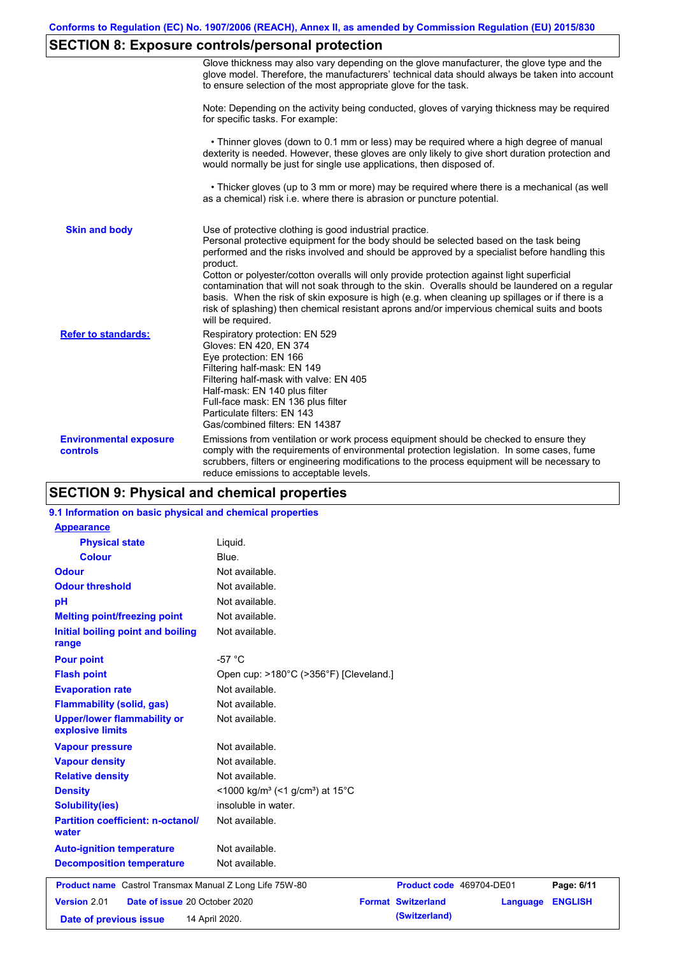# **SECTION 8: Exposure controls/personal protection**

|                                           | Glove thickness may also vary depending on the glove manufacturer, the glove type and the<br>glove model. Therefore, the manufacturers' technical data should always be taken into account<br>to ensure selection of the most appropriate glove for the task.                                                                                                                                                                                                                                                                                                                                                                                                                         |
|-------------------------------------------|---------------------------------------------------------------------------------------------------------------------------------------------------------------------------------------------------------------------------------------------------------------------------------------------------------------------------------------------------------------------------------------------------------------------------------------------------------------------------------------------------------------------------------------------------------------------------------------------------------------------------------------------------------------------------------------|
|                                           | Note: Depending on the activity being conducted, gloves of varying thickness may be required<br>for specific tasks. For example:                                                                                                                                                                                                                                                                                                                                                                                                                                                                                                                                                      |
|                                           | • Thinner gloves (down to 0.1 mm or less) may be required where a high degree of manual<br>dexterity is needed. However, these gloves are only likely to give short duration protection and<br>would normally be just for single use applications, then disposed of.                                                                                                                                                                                                                                                                                                                                                                                                                  |
|                                           | • Thicker gloves (up to 3 mm or more) may be required where there is a mechanical (as well<br>as a chemical) risk i.e. where there is abrasion or puncture potential.                                                                                                                                                                                                                                                                                                                                                                                                                                                                                                                 |
| <b>Skin and body</b>                      | Use of protective clothing is good industrial practice.<br>Personal protective equipment for the body should be selected based on the task being<br>performed and the risks involved and should be approved by a specialist before handling this<br>product.<br>Cotton or polyester/cotton overalls will only provide protection against light superficial<br>contamination that will not soak through to the skin. Overalls should be laundered on a regular<br>basis. When the risk of skin exposure is high (e.g. when cleaning up spillages or if there is a<br>risk of splashing) then chemical resistant aprons and/or impervious chemical suits and boots<br>will be required. |
| <b>Refer to standards:</b>                | Respiratory protection: EN 529<br>Gloves: EN 420, EN 374<br>Eye protection: EN 166<br>Filtering half-mask: EN 149<br>Filtering half-mask with valve: EN 405<br>Half-mask: EN 140 plus filter<br>Full-face mask: EN 136 plus filter<br>Particulate filters: EN 143<br>Gas/combined filters: EN 14387                                                                                                                                                                                                                                                                                                                                                                                   |
| <b>Environmental exposure</b><br>controls | Emissions from ventilation or work process equipment should be checked to ensure they<br>comply with the requirements of environmental protection legislation. In some cases, fume<br>scrubbers, filters or engineering modifications to the process equipment will be necessary to<br>reduce emissions to acceptable levels.                                                                                                                                                                                                                                                                                                                                                         |

## **SECTION 9: Physical and chemical properties**

| 9.1 Information on basic physical and chemical properties |                                                                      |
|-----------------------------------------------------------|----------------------------------------------------------------------|
| <b>Appearance</b>                                         |                                                                      |
| <b>Physical state</b>                                     | Liquid.                                                              |
| <b>Colour</b>                                             | Blue.                                                                |
| <b>Odour</b>                                              | Not available.                                                       |
| <b>Odour threshold</b>                                    | Not available.                                                       |
| pH                                                        | Not available.                                                       |
| <b>Melting point/freezing point</b>                       | Not available.                                                       |
| Initial boiling point and boiling<br>range                | Not available.                                                       |
| <b>Pour point</b>                                         | $-57 °C$                                                             |
| <b>Flash point</b>                                        | Open cup: >180°C (>356°F) [Cleveland.]                               |
| <b>Evaporation rate</b>                                   | Not available.                                                       |
| <b>Flammability (solid, gas)</b>                          | Not available.                                                       |
| <b>Upper/lower flammability or</b><br>explosive limits    | Not available.                                                       |
| <b>Vapour pressure</b>                                    | Not available.                                                       |
| <b>Vapour density</b>                                     | Not available.                                                       |
| <b>Relative density</b>                                   | Not available.                                                       |
| <b>Density</b>                                            | <1000 kg/m <sup>3</sup> (<1 g/cm <sup>3</sup> ) at 15 <sup>°</sup> C |
| <b>Solubility(ies)</b>                                    | insoluble in water.                                                  |
| <b>Partition coefficient: n-octanol/</b><br>water         | Not available.                                                       |
| <b>Auto-ignition temperature</b>                          | Not available.                                                       |
| <b>Decomposition temperature</b>                          | Not available.                                                       |
| Product name Castrol Transmax Manual Z Long Life 75W-80   | Page: 6/11<br>Product code 469704-DE01                               |
| Version 2.01<br>Date of issue 20 October 2020             | <b>Format Switzerland</b><br><b>ENGLISH</b><br>Language              |
| Date of previous issue                                    | (Switzerland)<br>14 April 2020.                                      |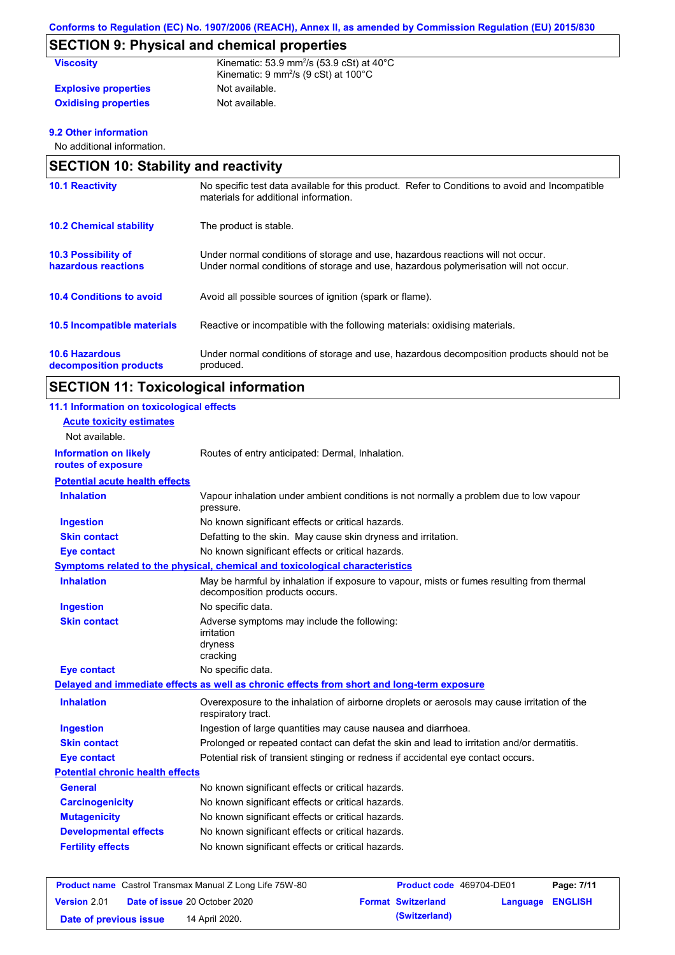# **SECTION 9: Physical and chemical properties**

| <b>Viscositv</b>            | Kinematic: 53.9 mm <sup>2</sup> /s (53.9 cSt) at $40^{\circ}$ C<br>Kinematic: $9 \text{ mm}^2\text{/s}$ (9 cSt) at 100 $^{\circ}$ C |
|-----------------------------|-------------------------------------------------------------------------------------------------------------------------------------|
| <b>Explosive properties</b> | Not available.                                                                                                                      |
| <b>Oxidising properties</b> | Not available.                                                                                                                      |

### **9.2 Other information**

No additional information.

| <b>SECTION 10: Stability and reactivity</b>       |                                                                                                                                                                         |  |  |  |
|---------------------------------------------------|-------------------------------------------------------------------------------------------------------------------------------------------------------------------------|--|--|--|
| <b>10.1 Reactivity</b>                            | No specific test data available for this product. Refer to Conditions to avoid and Incompatible<br>materials for additional information.                                |  |  |  |
| <b>10.2 Chemical stability</b>                    | The product is stable.                                                                                                                                                  |  |  |  |
| <b>10.3 Possibility of</b><br>hazardous reactions | Under normal conditions of storage and use, hazardous reactions will not occur.<br>Under normal conditions of storage and use, hazardous polymerisation will not occur. |  |  |  |
| <b>10.4 Conditions to avoid</b>                   | Avoid all possible sources of ignition (spark or flame).                                                                                                                |  |  |  |
| 10.5 Incompatible materials                       | Reactive or incompatible with the following materials: oxidising materials.                                                                                             |  |  |  |
| <b>10.6 Hazardous</b><br>decomposition products   | Under normal conditions of storage and use, hazardous decomposition products should not be<br>produced.                                                                 |  |  |  |

# **SECTION 11: Toxicological information**

| 11.1 Information on toxicological effects          |                                                                                                                             |
|----------------------------------------------------|-----------------------------------------------------------------------------------------------------------------------------|
| <b>Acute toxicity estimates</b>                    |                                                                                                                             |
| Not available.                                     |                                                                                                                             |
| <b>Information on likely</b><br>routes of exposure | Routes of entry anticipated: Dermal, Inhalation.                                                                            |
| <b>Potential acute health effects</b>              |                                                                                                                             |
| <b>Inhalation</b>                                  | Vapour inhalation under ambient conditions is not normally a problem due to low vapour<br>pressure.                         |
| <b>Ingestion</b>                                   | No known significant effects or critical hazards.                                                                           |
| <b>Skin contact</b>                                | Defatting to the skin. May cause skin dryness and irritation.                                                               |
| <b>Eye contact</b>                                 | No known significant effects or critical hazards.                                                                           |
|                                                    | Symptoms related to the physical, chemical and toxicological characteristics                                                |
| <b>Inhalation</b>                                  | May be harmful by inhalation if exposure to vapour, mists or fumes resulting from thermal<br>decomposition products occurs. |
| <b>Ingestion</b>                                   | No specific data.                                                                                                           |
| <b>Skin contact</b>                                | Adverse symptoms may include the following:<br>irritation<br>dryness<br>cracking                                            |
| <b>Eye contact</b>                                 | No specific data.                                                                                                           |
|                                                    | Delayed and immediate effects as well as chronic effects from short and long-term exposure                                  |
| <b>Inhalation</b>                                  | Overexposure to the inhalation of airborne droplets or aerosols may cause irritation of the<br>respiratory tract.           |
| <b>Ingestion</b>                                   | Ingestion of large quantities may cause nausea and diarrhoea.                                                               |
| <b>Skin contact</b>                                | Prolonged or repeated contact can defat the skin and lead to irritation and/or dermatitis.                                  |
| <b>Eye contact</b>                                 | Potential risk of transient stinging or redness if accidental eye contact occurs.                                           |
| <b>Potential chronic health effects</b>            |                                                                                                                             |
| <b>General</b>                                     | No known significant effects or critical hazards.                                                                           |
| <b>Carcinogenicity</b>                             | No known significant effects or critical hazards.                                                                           |
| <b>Mutagenicity</b>                                | No known significant effects or critical hazards.                                                                           |
| <b>Developmental effects</b>                       | No known significant effects or critical hazards.                                                                           |
| <b>Fertility effects</b>                           | No known significant effects or critical hazards.                                                                           |

| <b>Product name</b> Castrol Transmax Manual Z Long Life 75W-80 |                                      |                           | <b>Product code</b> 469704-DE01 | Page: 7/11       |
|----------------------------------------------------------------|--------------------------------------|---------------------------|---------------------------------|------------------|
| <b>Version 2.01</b>                                            | <b>Date of issue 20 October 2020</b> | <b>Format Switzerland</b> |                                 | Language ENGLISH |
| Date of previous issue                                         | 14 April 2020.                       |                           | (Switzerland)                   |                  |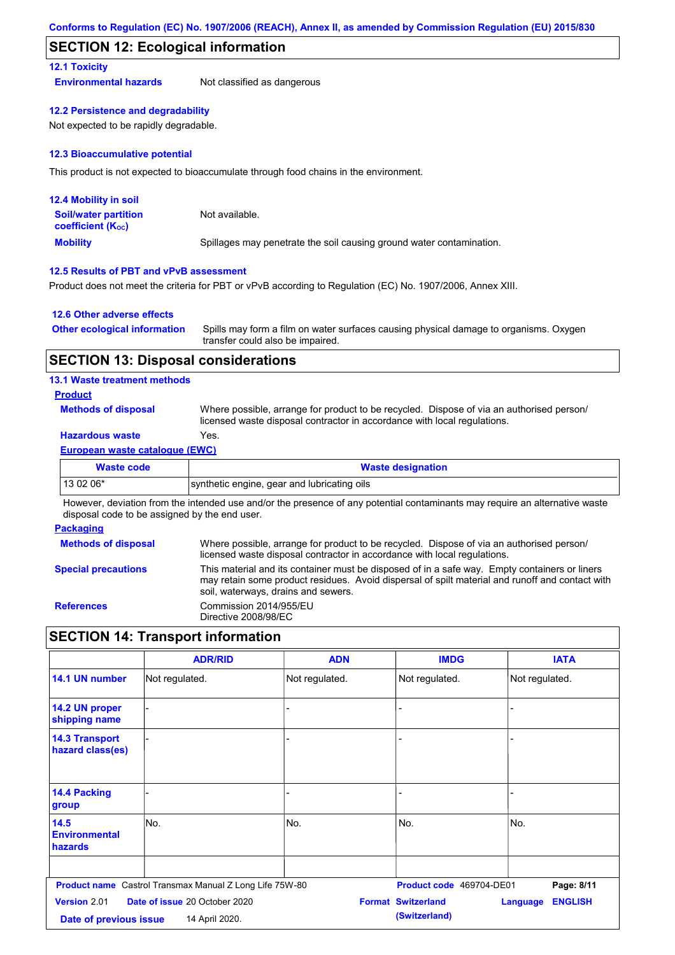### **SECTION 12: Ecological information**

### **12.1 Toxicity**

**Environmental hazards** Not classified as dangerous

#### **12.2 Persistence and degradability**

Not expected to be rapidly degradable.

#### **12.3 Bioaccumulative potential**

This product is not expected to bioaccumulate through food chains in the environment.

| <b>12.4 Mobility in soil</b>                            |                                                                      |
|---------------------------------------------------------|----------------------------------------------------------------------|
| <b>Soil/water partition</b><br><b>coefficient (Koc)</b> | Not available.                                                       |
| <b>Mobility</b>                                         | Spillages may penetrate the soil causing ground water contamination. |

### **12.5 Results of PBT and vPvB assessment**

Product does not meet the criteria for PBT or vPvB according to Regulation (EC) No. 1907/2006, Annex XIII.

### **12.6 Other adverse effects**

| <b>Other ecological information</b> | Spills may form a film on water surfaces causing physical damage to organisms. Oxygen |
|-------------------------------------|---------------------------------------------------------------------------------------|
|                                     | transfer could also be impaired.                                                      |

### **SECTION 13: Disposal considerations**

### **13.1 Waste treatment methods**

- **Product**
- **Methods of disposal**

Where possible, arrange for product to be recycled. Dispose of via an authorised person/ licensed waste disposal contractor in accordance with local regulations.

### **Hazardous waste** Yes.

### **European waste catalogue (EWC)**

| <b>Waste code</b> | <b>Waste designation</b>                    |  |
|-------------------|---------------------------------------------|--|
| $130206*$         | synthetic engine, gear and lubricating oils |  |
| .<br>.            |                                             |  |

However, deviation from the intended use and/or the presence of any potential contaminants may require an alternative waste disposal code to be assigned by the end user.

#### **Packaging**

| <b>Methods of disposal</b> | Where possible, arrange for product to be recycled. Dispose of via an authorised person/                                                                                                                                                |
|----------------------------|-----------------------------------------------------------------------------------------------------------------------------------------------------------------------------------------------------------------------------------------|
|                            | licensed waste disposal contractor in accordance with local regulations.                                                                                                                                                                |
| <b>Special precautions</b> | This material and its container must be disposed of in a safe way. Empty containers or liners<br>may retain some product residues. Avoid dispersal of spilt material and runoff and contact with<br>soil, waterways, drains and sewers. |
| <b>References</b>          | Commission 2014/955/EU<br>Directive 2008/98/EC                                                                                                                                                                                          |

### **SECTION 14: Transport information**

|                                           | <b>ADR/RID</b>                                                 | <b>ADN</b>     | <b>IMDG</b>               | <b>IATA</b>                       |
|-------------------------------------------|----------------------------------------------------------------|----------------|---------------------------|-----------------------------------|
| 14.1 UN number                            | Not regulated.                                                 | Not regulated. | Not regulated.            | Not regulated.                    |
| 14.2 UN proper<br>shipping name           |                                                                | -              |                           |                                   |
| <b>14.3 Transport</b><br>hazard class(es) |                                                                |                |                           |                                   |
| 14.4 Packing<br>group                     |                                                                |                |                           |                                   |
| 14.5<br><b>Environmental</b><br>hazards   | No.                                                            | No.            | No.                       | No.                               |
|                                           | <b>Product name</b> Castrol Transmax Manual Z Long Life 75W-80 |                | Product code 469704-DE01  | Page: 8/11                        |
| Version 2.01                              | Date of issue 20 October 2020                                  |                | <b>Format Switzerland</b> | <b>ENGLISH</b><br><b>Language</b> |
| Date of previous issue                    | 14 April 2020.                                                 |                | (Switzerland)             |                                   |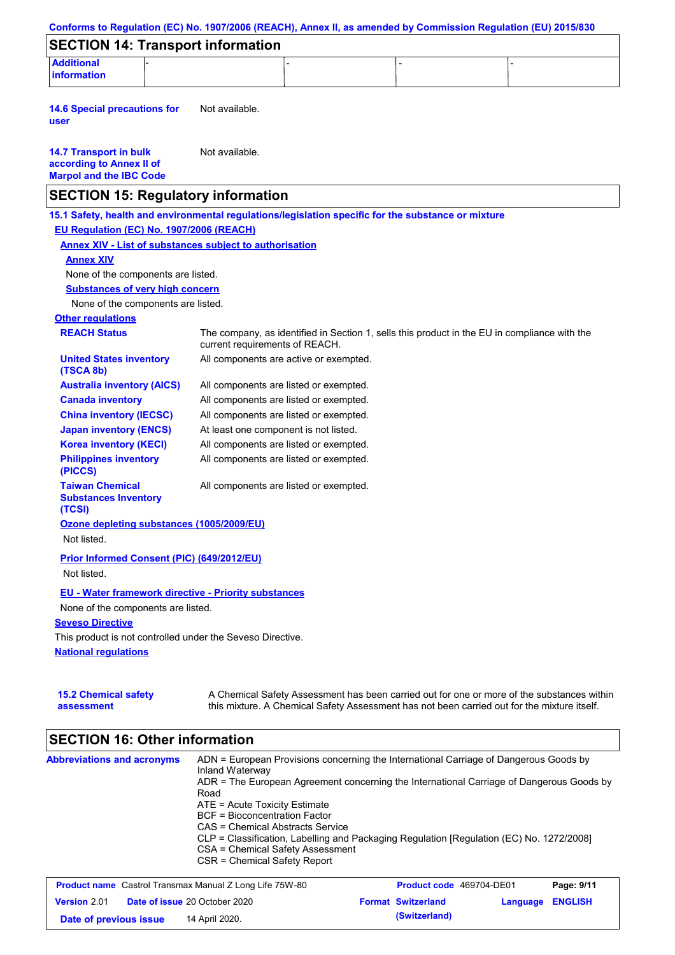|                                                                                                                                              | Conforms to Regulation (EC) No. 1907/2006 (REACH), Annex II, as amended by Commission Regulation (EU) 2015/830                                                                            |
|----------------------------------------------------------------------------------------------------------------------------------------------|-------------------------------------------------------------------------------------------------------------------------------------------------------------------------------------------|
| <b>SECTION 14: Transport information</b>                                                                                                     |                                                                                                                                                                                           |
| <b>Additional</b><br><b>information</b>                                                                                                      |                                                                                                                                                                                           |
| <b>14.6 Special precautions for</b><br>user                                                                                                  | Not available.                                                                                                                                                                            |
| <b>14.7 Transport in bulk</b><br>according to Annex II of<br><b>Marpol and the IBC Code</b>                                                  | Not available.                                                                                                                                                                            |
| <b>SECTION 15: Regulatory information</b>                                                                                                    |                                                                                                                                                                                           |
| EU Regulation (EC) No. 1907/2006 (REACH)<br><b>Annex XIV</b><br>None of the components are listed.<br><b>Substances of very high concern</b> | 15.1 Safety, health and environmental regulations/legislation specific for the substance or mixture<br><b>Annex XIV - List of substances subject to authorisation</b>                     |
| None of the components are listed.                                                                                                           |                                                                                                                                                                                           |
| <b>Other regulations</b>                                                                                                                     |                                                                                                                                                                                           |
| <b>REACH Status</b>                                                                                                                          | The company, as identified in Section 1, sells this product in the EU in compliance with the<br>current requirements of REACH.                                                            |
| <b>United States inventory</b><br>(TSCA 8b)                                                                                                  | All components are active or exempted.                                                                                                                                                    |
| <b>Australia inventory (AICS)</b>                                                                                                            | All components are listed or exempted.                                                                                                                                                    |
| <b>Canada inventory</b>                                                                                                                      | All components are listed or exempted.                                                                                                                                                    |
| <b>China inventory (IECSC)</b>                                                                                                               | All components are listed or exempted.                                                                                                                                                    |
| <b>Japan inventory (ENCS)</b>                                                                                                                | At least one component is not listed.                                                                                                                                                     |
| <b>Korea inventory (KECI)</b>                                                                                                                | All components are listed or exempted.                                                                                                                                                    |
| <b>Philippines inventory</b><br>(PICCS)                                                                                                      | All components are listed or exempted.                                                                                                                                                    |
| <b>Taiwan Chemical</b><br><b>Substances Inventory</b><br>(TCSI)                                                                              | All components are listed or exempted.                                                                                                                                                    |
| Ozone depleting substances (1005/2009/EU)                                                                                                    |                                                                                                                                                                                           |
| Not listed.                                                                                                                                  |                                                                                                                                                                                           |
| Prior Informed Consent (PIC) (649/2012/EU)                                                                                                   |                                                                                                                                                                                           |
| Not listed.                                                                                                                                  |                                                                                                                                                                                           |
| <b>EU - Water framework directive - Priority substances</b>                                                                                  |                                                                                                                                                                                           |
| None of the components are listed.                                                                                                           |                                                                                                                                                                                           |
| <b>Seveso Directive</b>                                                                                                                      |                                                                                                                                                                                           |
| This product is not controlled under the Seveso Directive.                                                                                   |                                                                                                                                                                                           |
| <b>National requlations</b>                                                                                                                  |                                                                                                                                                                                           |
| <b>15.2 Chemical safety</b><br>assessment                                                                                                    | A Chemical Safety Assessment has been carried out for one or more of the substances within<br>this mixture. A Chemical Safety Assessment has not been carried out for the mixture itself. |

## **SECTION 16: Other information**

| <b>Abbreviations and acronyms</b> | ADN = European Provisions concerning the International Carriage of Dangerous Goods by<br>Inland Waterway<br>ADR = The European Agreement concerning the International Carriage of Dangerous Goods by |
|-----------------------------------|------------------------------------------------------------------------------------------------------------------------------------------------------------------------------------------------------|
|                                   | Road                                                                                                                                                                                                 |
|                                   | ATE = Acute Toxicity Estimate                                                                                                                                                                        |
|                                   | BCF = Bioconcentration Factor                                                                                                                                                                        |
|                                   | CAS = Chemical Abstracts Service                                                                                                                                                                     |
|                                   | CLP = Classification, Labelling and Packaging Regulation [Regulation (EC) No. 1272/2008]                                                                                                             |
|                                   | CSA = Chemical Safety Assessment                                                                                                                                                                     |
|                                   | CSR = Chemical Safety Report                                                                                                                                                                         |
|                                   |                                                                                                                                                                                                      |

| <b>Product name</b> Castrol Transmax Manual Z Long Life 75W-80 |                                      | <b>Product code</b> 469704-DE01 |                           | Page: 9/11              |  |
|----------------------------------------------------------------|--------------------------------------|---------------------------------|---------------------------|-------------------------|--|
| <b>Version</b> 2.01                                            | <b>Date of issue 20 October 2020</b> |                                 | <b>Format Switzerland</b> | <b>Language ENGLISH</b> |  |
| Date of previous issue                                         | 14 April 2020.                       |                                 | (Switzerland)             |                         |  |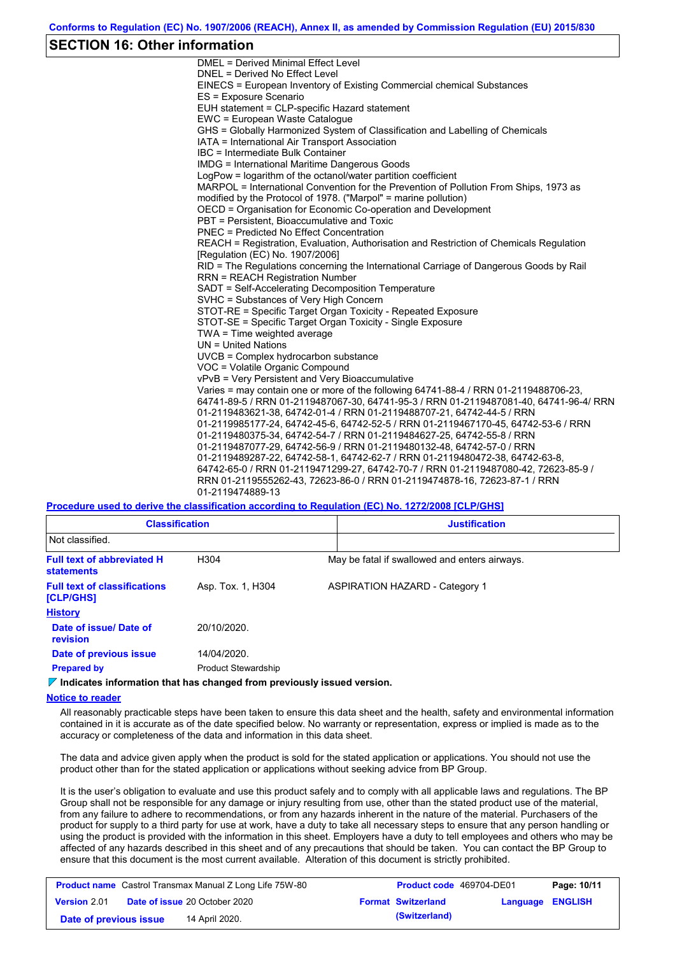### **SECTION 16: Other information**

DMEL = Derived Minimal Effect Level DNEL = Derived No Effect Level EINECS = European Inventory of Existing Commercial chemical Substances ES = Exposure Scenario EUH statement = CLP-specific Hazard statement EWC = European Waste Catalogue GHS = Globally Harmonized System of Classification and Labelling of Chemicals IATA = International Air Transport Association IBC = Intermediate Bulk Container IMDG = International Maritime Dangerous Goods LogPow = logarithm of the octanol/water partition coefficient MARPOL = International Convention for the Prevention of Pollution From Ships, 1973 as modified by the Protocol of 1978. ("Marpol" = marine pollution) OECD = Organisation for Economic Co-operation and Development PBT = Persistent, Bioaccumulative and Toxic PNEC = Predicted No Effect Concentration REACH = Registration, Evaluation, Authorisation and Restriction of Chemicals Regulation [Regulation (EC) No. 1907/2006] RID = The Regulations concerning the International Carriage of Dangerous Goods by Rail RRN = REACH Registration Number SADT = Self-Accelerating Decomposition Temperature SVHC = Substances of Very High Concern STOT-RE = Specific Target Organ Toxicity - Repeated Exposure STOT-SE = Specific Target Organ Toxicity - Single Exposure TWA = Time weighted average UN = United Nations UVCB = Complex hydrocarbon substance VOC = Volatile Organic Compound vPvB = Very Persistent and Very Bioaccumulative Varies = may contain one or more of the following 64741-88-4 / RRN 01-2119488706-23, 64741-89-5 / RRN 01-2119487067-30, 64741-95-3 / RRN 01-2119487081-40, 64741-96-4/ RRN 01-2119483621-38, 64742-01-4 / RRN 01-2119488707-21, 64742-44-5 / RRN 01-2119985177-24, 64742-45-6, 64742-52-5 / RRN 01-2119467170-45, 64742-53-6 / RRN 01-2119480375-34, 64742-54-7 / RRN 01-2119484627-25, 64742-55-8 / RRN 01-2119487077-29, 64742-56-9 / RRN 01-2119480132-48, 64742-57-0 / RRN 01-2119489287-22, 64742-58-1, 64742-62-7 / RRN 01-2119480472-38, 64742-63-8, 64742-65-0 / RRN 01-2119471299-27, 64742-70-7 / RRN 01-2119487080-42, 72623-85-9 / RRN 01-2119555262-43, 72623-86-0 / RRN 01-2119474878-16, 72623-87-1 / RRN 01-2119474889-13

### **Procedure used to derive the classification according to Regulation (EC) No. 1272/2008 [CLP/GHS]**

| <b>Classification</b>                                  |                            | <b>Justification</b>                          |  |  |  |
|--------------------------------------------------------|----------------------------|-----------------------------------------------|--|--|--|
| Not classified.                                        |                            |                                               |  |  |  |
| <b>Full text of abbreviated H</b><br><b>statements</b> | H304                       | May be fatal if swallowed and enters airways. |  |  |  |
| <b>Full text of classifications</b><br>[CLP/GHS]       | Asp. Tox. 1, H304          | <b>ASPIRATION HAZARD - Category 1</b>         |  |  |  |
| <b>History</b>                                         |                            |                                               |  |  |  |
| Date of issue/Date of<br>revision                      | 20/10/2020.                |                                               |  |  |  |
| Date of previous issue                                 | 14/04/2020.                |                                               |  |  |  |
| <b>Prepared by</b>                                     | <b>Product Stewardship</b> |                                               |  |  |  |

**Indicates information that has changed from previously issued version.**

**Notice to reader**

All reasonably practicable steps have been taken to ensure this data sheet and the health, safety and environmental information contained in it is accurate as of the date specified below. No warranty or representation, express or implied is made as to the accuracy or completeness of the data and information in this data sheet.

The data and advice given apply when the product is sold for the stated application or applications. You should not use the product other than for the stated application or applications without seeking advice from BP Group.

It is the user's obligation to evaluate and use this product safely and to comply with all applicable laws and regulations. The BP Group shall not be responsible for any damage or injury resulting from use, other than the stated product use of the material, from any failure to adhere to recommendations, or from any hazards inherent in the nature of the material. Purchasers of the product for supply to a third party for use at work, have a duty to take all necessary steps to ensure that any person handling or using the product is provided with the information in this sheet. Employers have a duty to tell employees and others who may be affected of any hazards described in this sheet and of any precautions that should be taken. You can contact the BP Group to ensure that this document is the most current available. Alteration of this document is strictly prohibited.

| <b>Product name</b> Castrol Transmax Manual Z Long Life 75W-80 |  | <b>Product code</b> 469704-DE01      |  | Page: 10/11               |                  |  |
|----------------------------------------------------------------|--|--------------------------------------|--|---------------------------|------------------|--|
| <b>Version 2.01</b>                                            |  | <b>Date of issue 20 October 2020</b> |  | <b>Format Switzerland</b> | Language ENGLISH |  |
| Date of previous issue                                         |  | 14 April 2020.                       |  | (Switzerland)             |                  |  |